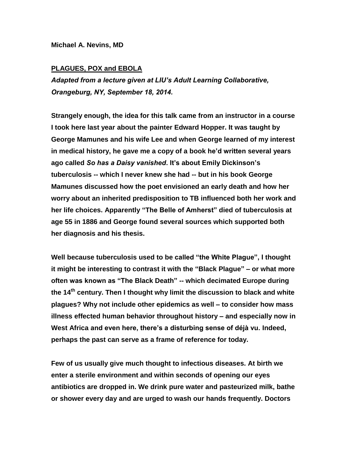**Michael A. Nevins, MD**

## **PLAGUES, POX and EBOLA**

*Adapted from a lecture given at LIU's Adult Learning Collaborative, Orangeburg, NY, September 18, 2014.*

**Strangely enough, the idea for this talk came from an instructor in a course I took here last year about the painter Edward Hopper. It was taught by George Mamunes and his wife Lee and when George learned of my interest in medical history, he gave me a copy of a book he'd written several years ago called** *So has a Daisy vanished***. It's about Emily Dickinson's tuberculosis -- which I never knew she had -- but in his book George Mamunes discussed how the poet envisioned an early death and how her worry about an inherited predisposition to TB influenced both her work and her life choices. Apparently "The Belle of Amherst" died of tuberculosis at age 55 in 1886 and George found several sources which supported both her diagnosis and his thesis.**

**Well because tuberculosis used to be called "the White Plague", I thought it might be interesting to contrast it with the "Black Plague" – or what more often was known as "The Black Death" -- which decimated Europe during the 14th century. Then I thought why limit the discussion to black and white plagues? Why not include other epidemics as well – to consider how mass illness effected human behavior throughout history – and especially now in West Africa and even here, there's a disturbing sense of déjà vu. Indeed, perhaps the past can serve as a frame of reference for today.** 

**Few of us usually give much thought to infectious diseases. At birth we enter a sterile environment and within seconds of opening our eyes antibiotics are dropped in. We drink pure water and pasteurized milk, bathe or shower every day and are urged to wash our hands frequently. Doctors**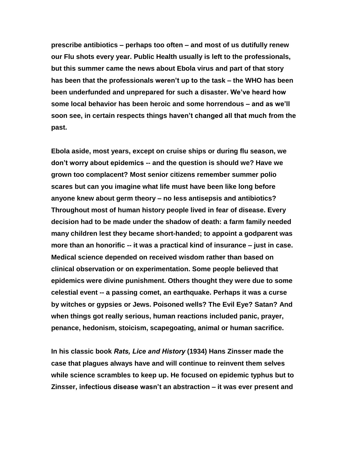**prescribe antibiotics – perhaps too often – and most of us dutifully renew our Flu shots every year. Public Health usually is left to the professionals, but this summer came the news about Ebola virus and part of that story has been that the professionals weren't up to the task – the WHO has been been underfunded and unprepared for such a disaster. We've heard how some local behavior has been heroic and some horrendous – and as we'll soon see, in certain respects things haven't changed all that much from the past.** 

**Ebola aside, most years, except on cruise ships or during flu season, we don't worry about epidemics -- and the question is should we? Have we grown too complacent? Most senior citizens remember summer polio scares but can you imagine what life must have been like long before anyone knew about germ theory – no less antisepsis and antibiotics? Throughout most of human history people lived in fear of disease. Every decision had to be made under the shadow of death: a farm family needed many children lest they became short-handed; to appoint a godparent was more than an honorific -- it was a practical kind of insurance – just in case. Medical science depended on received wisdom rather than based on clinical observation or on experimentation. Some people believed that epidemics were divine punishment. Others thought they were due to some celestial event -- a passing comet, an earthquake. Perhaps it was a curse by witches or gypsies or Jews. Poisoned wells? The Evil Eye? Satan? And when things got really serious, human reactions included panic, prayer, penance, hedonism, stoicism, scapegoating, animal or human sacrifice.**

**In his classic book** *Rats, Lice and History* **(1934) Hans Zinsser made the case that plagues always have and will continue to reinvent them selves while science scrambles to keep up. He focused on epidemic typhus but to Zinsser, infectious disease wasn't an abstraction – it was ever present and**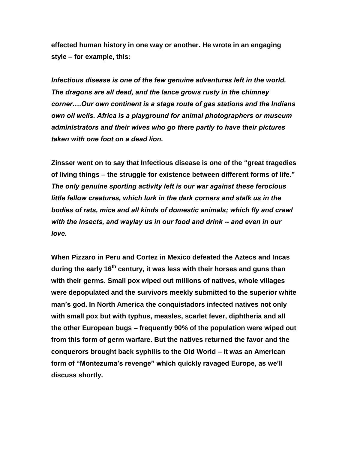**effected human history in one way or another. He wrote in an engaging style – for example, this:**

*Infectious disease is one of the few genuine adventures left in the world. The dragons are all dead, and the lance grows rusty in the chimney corner….Our own continent is a stage route of gas stations and the Indians own oil wells. Africa is a playground for animal photographers or museum administrators and their wives who go there partly to have their pictures taken with one foot on a dead lion.*

**Zinsser went on to say that Infectious disease is one of the "great tragedies of living things – the struggle for existence between different forms of life."**  *The only genuine sporting activity left is our war against these ferocious little fellow creatures, which lurk in the dark corners and stalk us in the bodies of rats, mice and all kinds of domestic animals; which fly and crawl with the insects, and waylay us in our food and drink -- and even in our love.*

**When Pizzaro in Peru and Cortez in Mexico defeated the Aztecs and Incas during the early 16th century, it was less with their horses and guns than with their germs. Small pox wiped out millions of natives, whole villages were depopulated and the survivors meekly submitted to the superior white man's god. In North America the conquistadors infected natives not only with small pox but with typhus, measles, scarlet fever, diphtheria and all the other European bugs – frequently 90% of the population were wiped out from this form of germ warfare. But the natives returned the favor and the conquerors brought back syphilis to the Old World – it was an American form of "Montezuma's revenge" which quickly ravaged Europe, as we'll discuss shortly.**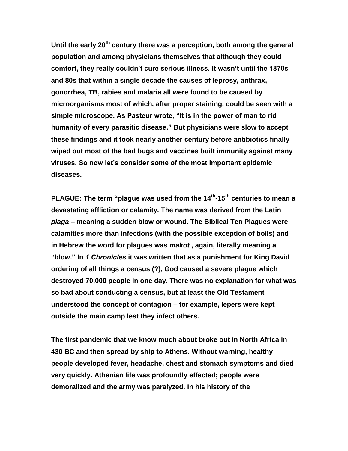**Until the early 20th century there was a perception, both among the general population and among physicians themselves that although they could comfort, they really couldn't cure serious illness. It wasn't until the 1870s and 80s that within a single decade the causes of leprosy, anthrax, gonorrhea, TB, rabies and malaria all were found to be caused by microorganisms most of which, after proper staining, could be seen with a simple microscope. As Pasteur wrote, "It is in the power of man to rid humanity of every parasitic disease." But physicians were slow to accept these findings and it took nearly another century before antibiotics finally wiped out most of the bad bugs and vaccines built immunity against many viruses. So now let's consider some of the most important epidemic diseases.**

**PLAGUE: The term "plague was used from the 14th -15th centuries to mean a devastating affliction or calamity. The name was derived from the Latin**  *plaga* **– meaning a sudden blow or wound. The Biblical Ten Plagues were calamities more than infections (with the possible exception of boils) and in Hebrew the word for plagues was** *makot* **, again, literally meaning a "blow." In** *1 Chronicles* **it was written that as a punishment for King David ordering of all things a census (?), God caused a severe plague which destroyed 70,000 people in one day. There was no explanation for what was so bad about conducting a census, but at least the Old Testament understood the concept of contagion – for example, lepers were kept outside the main camp lest they infect others.** 

**The first pandemic that we know much about broke out in North Africa in 430 BC and then spread by ship to Athens. Without warning, healthy people developed fever, headache, chest and stomach symptoms and died very quickly. Athenian life was profoundly effected; people were demoralized and the army was paralyzed. In his history of the**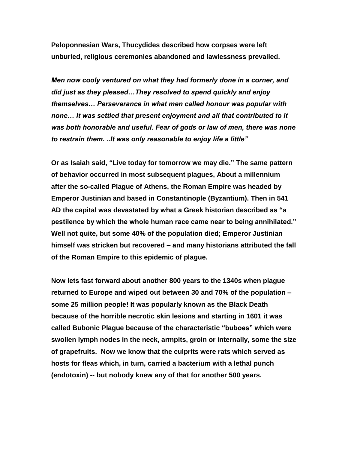**Peloponnesian Wars, Thucydides described how corpses were left unburied, religious ceremonies abandoned and lawlessness prevailed.** 

*Men now cooly ventured on what they had formerly done in a corner, and did just as they pleased…They resolved to spend quickly and enjoy themselves… Perseverance in what men called honour was popular with none… It was settled that present enjoyment and all that contributed to it was both honorable and useful. Fear of gods or law of men, there was none to restrain them. ..It was only reasonable to enjoy life a little"*

**Or as Isaiah said, "Live today for tomorrow we may die." The same pattern of behavior occurred in most subsequent plagues, About a millennium after the so-called Plague of Athens, the Roman Empire was headed by Emperor Justinian and based in Constantinople (Byzantium). Then in 541 AD the capital was devastated by what a Greek historian described as "a pestilence by which the whole human race came near to being annihilated." Well not quite, but some 40% of the population died; Emperor Justinian himself was stricken but recovered – and many historians attributed the fall of the Roman Empire to this epidemic of plague.**

**Now lets fast forward about another 800 years to the 1340s when plague returned to Europe and wiped out between 30 and 70% of the population – some 25 million people! It was popularly known as the Black Death because of the horrible necrotic skin lesions and starting in 1601 it was called Bubonic Plague because of the characteristic "buboes" which were swollen lymph nodes in the neck, armpits, groin or internally, some the size of grapefruits. Now we know that the culprits were rats which served as hosts for fleas which, in turn, carried a bacterium with a lethal punch (endotoxin) -- but nobody knew any of that for another 500 years.**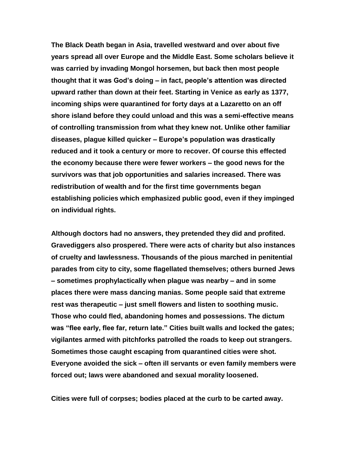**The Black Death began in Asia, travelled westward and over about five years spread all over Europe and the Middle East. Some scholars believe it was carried by invading Mongol horsemen, but back then most people thought that it was God's doing – in fact, people's attention was directed upward rather than down at their feet. Starting in Venice as early as 1377, incoming ships were quarantined for forty days at a Lazaretto on an off shore island before they could unload and this was a semi-effective means of controlling transmission from what they knew not. Unlike other familiar diseases, plague killed quicker – Europe's population was drastically reduced and it took a century or more to recover. Of course this effected the economy because there were fewer workers – the good news for the survivors was that job opportunities and salaries increased. There was redistribution of wealth and for the first time governments began establishing policies which emphasized public good, even if they impinged on individual rights.**

**Although doctors had no answers, they pretended they did and profited. Gravediggers also prospered. There were acts of charity but also instances of cruelty and lawlessness. Thousands of the pious marched in penitential parades from city to city, some flagellated themselves; others burned Jews – sometimes prophylactically when plague was nearby – and in some places there were mass dancing manias. Some people said that extreme rest was therapeutic – just smell flowers and listen to soothing music. Those who could fled, abandoning homes and possessions. The dictum was "flee early, flee far, return late." Cities built walls and locked the gates; vigilantes armed with pitchforks patrolled the roads to keep out strangers. Sometimes those caught escaping from quarantined cities were shot. Everyone avoided the sick – often ill servants or even family members were forced out; laws were abandoned and sexual morality loosened.**

**Cities were full of corpses; bodies placed at the curb to be carted away.**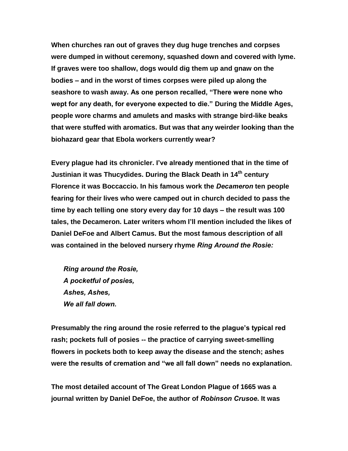**When churches ran out of graves they dug huge trenches and corpses were dumped in without ceremony, squashed down and covered with lyme. If graves were too shallow, dogs would dig them up and gnaw on the bodies – and in the worst of times corpses were piled up along the seashore to wash away. As one person recalled, "There were none who wept for any death, for everyone expected to die." During the Middle Ages, people wore charms and amulets and masks with strange bird-like beaks that were stuffed with aromatics. But was that any weirder looking than the biohazard gear that Ebola workers currently wear?**

**Every plague had its chronicler. I've already mentioned that in the time of Justinian it was Thucydides. During the Black Death in 14th century Florence it was Boccaccio. In his famous work the** *Decameron* **ten people fearing for their lives who were camped out in church decided to pass the time by each telling one story every day for 10 days – the result was 100 tales, the Decameron. Later writers whom I'll mention included the likes of Daniel DeFoe and Albert Camus. But the most famous description of all was contained in the beloved nursery rhyme** *Ring Around the Rosie:*

*Ring around the Rosie, A pocketful of posies, Ashes, Ashes, We all fall down.*

**Presumably the ring around the rosie referred to the plague's typical red rash; pockets full of posies -- the practice of carrying sweet-smelling flowers in pockets both to keep away the disease and the stench; ashes were the results of cremation and "we all fall down" needs no explanation.**

**The most detailed account of The Great London Plague of 1665 was a journal written by Daniel DeFoe, the author of** *Robinson Crusoe***. It was**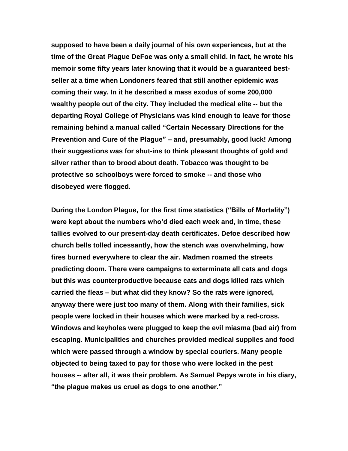**supposed to have been a daily journal of his own experiences, but at the time of the Great Plague DeFoe was only a small child. In fact, he wrote his memoir some fifty years later knowing that it would be a guaranteed bestseller at a time when Londoners feared that still another epidemic was coming their way. In it he described a mass exodus of some 200,000 wealthy people out of the city. They included the medical elite -- but the departing Royal College of Physicians was kind enough to leave for those remaining behind a manual called "Certain Necessary Directions for the Prevention and Cure of the Plague" – and, presumably, good luck! Among their suggestions was for shut-ins to think pleasant thoughts of gold and silver rather than to brood about death. Tobacco was thought to be protective so schoolboys were forced to smoke -- and those who disobeyed were flogged.** 

**During the London Plague, for the first time statistics ("Bills of Mortality") were kept about the numbers who'd died each week and, in time, these tallies evolved to our present-day death certificates. Defoe described how church bells tolled incessantly, how the stench was overwhelming, how fires burned everywhere to clear the air. Madmen roamed the streets predicting doom. There were campaigns to exterminate all cats and dogs but this was counterproductive because cats and dogs killed rats which carried the fleas – but what did they know? So the rats were ignored, anyway there were just too many of them. Along with their families, sick people were locked in their houses which were marked by a red-cross. Windows and keyholes were plugged to keep the evil miasma (bad air) from escaping. Municipalities and churches provided medical supplies and food which were passed through a window by special couriers. Many people objected to being taxed to pay for those who were locked in the pest houses -- after all, it was their problem. As Samuel Pepys wrote in his diary, "the plague makes us cruel as dogs to one another."**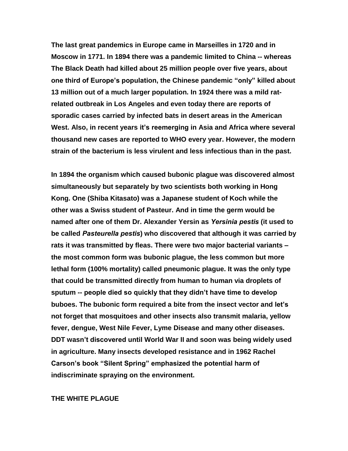**The last great pandemics in Europe came in Marseilles in 1720 and in Moscow in 1771. In 1894 there was a pandemic limited to China -- whereas The Black Death had killed about 25 million people over five years, about one third of Europe's population, the Chinese pandemic "only" killed about 13 million out of a much larger population. In 1924 there was a mild ratrelated outbreak in Los Angeles and even today there are reports of sporadic cases carried by infected bats in desert areas in the American West. Also, in recent years it's reemerging in Asia and Africa where several thousand new cases are reported to WHO every year. However, the modern strain of the bacterium is less virulent and less infectious than in the past.** 

**In 1894 the organism which caused bubonic plague was discovered almost simultaneously but separately by two scientists both working in Hong Kong. One (Shiba Kitasato) was a Japanese student of Koch while the other was a Swiss student of Pasteur. And in time the germ would be named after one of them Dr. Alexander Yersin as** *Yersinia pestis* **(it used to be called** *Pasteurella pestis***) who discovered that although it was carried by rats it was transmitted by fleas. There were two major bacterial variants – the most common form was bubonic plague, the less common but more lethal form (100% mortality) called pneumonic plague. It was the only type that could be transmitted directly from human to human via droplets of sputum -- people died so quickly that they didn't have time to develop buboes. The bubonic form required a bite from the insect vector and let's not forget that mosquitoes and other insects also transmit malaria, yellow fever, dengue, West Nile Fever, Lyme Disease and many other diseases. DDT wasn't discovered until World War II and soon was being widely used in agriculture. Many insects developed resistance and in 1962 Rachel Carson's book "Silent Spring" emphasized the potential harm of indiscriminate spraying on the environment.** 

## **THE WHITE PLAGUE**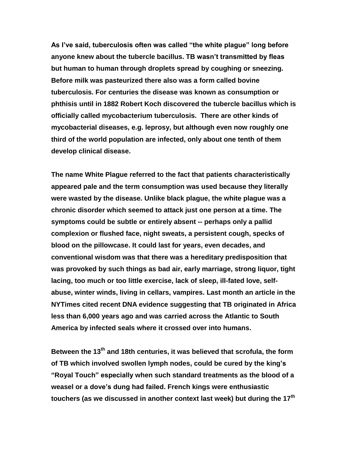**As I've said, tuberculosis often was called "the white plague" long before anyone knew about the tubercle bacillus. TB wasn't transmitted by fleas but human to human through droplets spread by coughing or sneezing. Before milk was pasteurized there also was a form called bovine tuberculosis. For centuries the disease was known as consumption or phthisis until in 1882 Robert Koch discovered the tubercle bacillus which is officially called mycobacterium tuberculosis. There are other kinds of mycobacterial diseases, e.g. leprosy, but although even now roughly one third of the world population are infected, only about one tenth of them develop clinical disease.** 

**The name White Plague referred to the fact that patients characteristically appeared pale and the term consumption was used because they literally were wasted by the disease. Unlike black plague, the white plague was a chronic disorder which seemed to attack just one person at a time. The symptoms could be subtle or entirely absent -- perhaps only a pallid complexion or flushed face, night sweats, a persistent cough, specks of blood on the pillowcase. It could last for years, even decades, and conventional wisdom was that there was a hereditary predisposition that was provoked by such things as bad air, early marriage, strong liquor, tight lacing, too much or too little exercise, lack of sleep, ill-fated love, selfabuse, winter winds, living in cellars, vampires. Last month an article in the NYTimes cited recent DNA evidence suggesting that TB originated in Africa less than 6,000 years ago and was carried across the Atlantic to South America by infected seals where it crossed over into humans.**

**Between the 13th and 18th centuries, it was believed that scrofula, the form of TB which involved swollen lymph nodes, could be cured by the king's "Royal Touch" especially when such standard treatments as the blood of a weasel or a dove's dung had failed. French kings were enthusiastic touchers (as we discussed in another context last week) but during the 17th**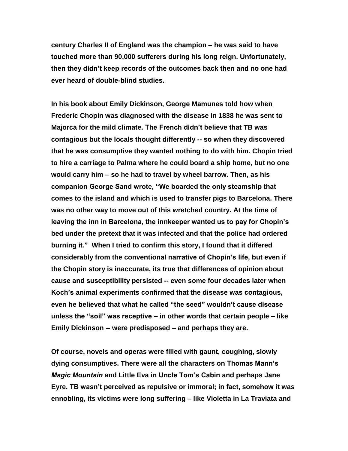**century Charles II of England was the champion – he was said to have touched more than 90,000 sufferers during his long reign. Unfortunately, then they didn't keep records of the outcomes back then and no one had ever heard of double-blind studies.**

**In his book about Emily Dickinson, George Mamunes told how when Frederic Chopin was diagnosed with the disease in 1838 he was sent to Majorca for the mild climate. The French didn't believe that TB was contagious but the locals thought differently -- so when they discovered that he was consumptive they wanted nothing to do with him. Chopin tried to hire a carriage to Palma where he could board a ship home, but no one would carry him – so he had to travel by wheel barrow. Then, as his companion George Sand wrote, "We boarded the only steamship that comes to the island and which is used to transfer pigs to Barcelona. There was no other way to move out of this wretched country. At the time of leaving the inn in Barcelona, the innkeeper wanted us to pay for Chopin's bed under the pretext that it was infected and that the police had ordered burning it." When I tried to confirm this story, I found that it differed considerably from the conventional narrative of Chopin's life, but even if the Chopin story is inaccurate, its true that differences of opinion about cause and susceptibility persisted -- even some four decades later when Koch's animal experiments confirmed that the disease was contagious, even he believed that what he called "the seed" wouldn't cause disease unless the "soil" was receptive – in other words that certain people – like Emily Dickinson -- were predisposed – and perhaps they are.**

**Of course, novels and operas were filled with gaunt, coughing, slowly dying consumptives. There were all the characters on Thomas Mann's**  *Magic Mountain* **and Little Eva in Uncle Tom's Cabin and perhaps Jane Eyre. TB wasn't perceived as repulsive or immoral; in fact, somehow it was ennobling, its victims were long suffering – like Violetta in La Traviata and**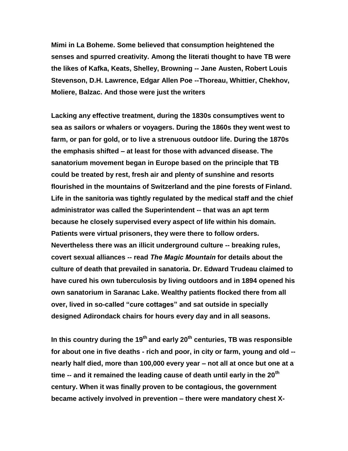**Mimi in La Boheme. Some believed that consumption heightened the senses and spurred creativity. Among the literati thought to have TB were the likes of Kafka, Keats, Shelley, Browning -- Jane Austen, Robert Louis Stevenson, D.H. Lawrence, Edgar Allen Poe --Thoreau, Whittier, Chekhov, Moliere, Balzac. And those were just the writers**

**Lacking any effective treatment, during the 1830s consumptives went to sea as sailors or whalers or voyagers. During the 1860s they went west to farm, or pan for gold, or to live a strenuous outdoor life. During the 1870s the emphasis shifted – at least for those with advanced disease. The sanatorium movement began in Europe based on the principle that TB could be treated by rest, fresh air and plenty of sunshine and resorts flourished in the mountains of Switzerland and the pine forests of Finland. Life in the sanitoria was tightly regulated by the medical staff and the chief administrator was called the Superintendent -- that was an apt term because he closely supervised every aspect of life within his domain. Patients were virtual prisoners, they were there to follow orders. Nevertheless there was an illicit underground culture -- breaking rules, covert sexual alliances -- read** *The Magic Mountain* **for details about the culture of death that prevailed in sanatoria. Dr. Edward Trudeau claimed to have cured his own tuberculosis by living outdoors and in 1894 opened his own sanatorium in Saranac Lake. Wealthy patients flocked there from all over, lived in so-called "cure cottages" and sat outside in specially designed Adirondack chairs for hours every day and in all seasons.** 

**In this country during the 19th and early 20th centuries, TB was responsible for about one in five deaths - rich and poor, in city or farm, young and old - nearly half died, more than 100,000 every year – not all at once but one at a time -- and it remained the leading cause of death until early in the 20th century. When it was finally proven to be contagious, the government became actively involved in prevention – there were mandatory chest X-**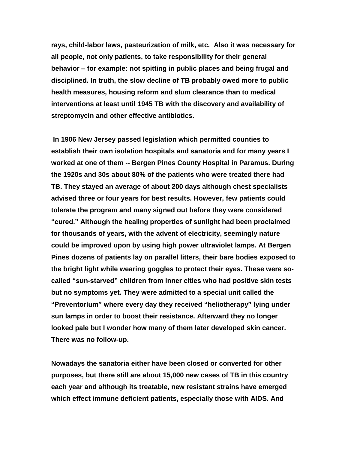**rays, child-labor laws, pasteurization of milk, etc. Also it was necessary for all people, not only patients, to take responsibility for their general behavior – for example: not spitting in public places and being frugal and disciplined. In truth, the slow decline of TB probably owed more to public health measures, housing reform and slum clearance than to medical interventions at least until 1945 TB with the discovery and availability of streptomycin and other effective antibiotics.**

**In 1906 New Jersey passed legislation which permitted counties to establish their own isolation hospitals and sanatoria and for many years I worked at one of them -- Bergen Pines County Hospital in Paramus. During the 1920s and 30s about 80% of the patients who were treated there had TB. They stayed an average of about 200 days although chest specialists advised three or four years for best results. However, few patients could tolerate the program and many signed out before they were considered "cured." Although the healing properties of sunlight had been proclaimed for thousands of years, with the advent of electricity, seemingly nature could be improved upon by using high power ultraviolet lamps. At Bergen Pines dozens of patients lay on parallel litters, their bare bodies exposed to the bright light while wearing goggles to protect their eyes. These were socalled "sun-starved" children from inner cities who had positive skin tests but no symptoms yet. They were admitted to a special unit called the "Preventorium" where every day they received "heliotherapy" lying under sun lamps in order to boost their resistance. Afterward they no longer looked pale but I wonder how many of them later developed skin cancer. There was no follow-up.**

**Nowadays the sanatoria either have been closed or converted for other purposes, but there still are about 15,000 new cases of TB in this country each year and although its treatable, new resistant strains have emerged which effect immune deficient patients, especially those with AIDS. And**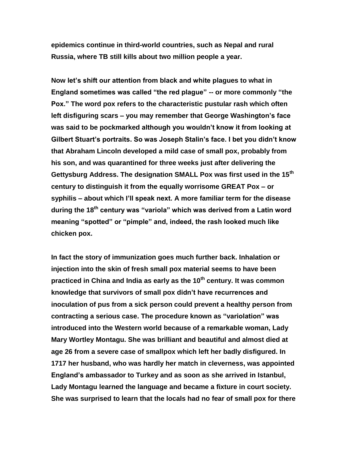**epidemics continue in third-world countries, such as Nepal and rural Russia, where TB still kills about two million people a year.**

**Now let's shift our attention from black and white plagues to what in England sometimes was called "the red plague" -- or more commonly "the Pox." The word pox refers to the characteristic pustular rash which often left disfiguring scars – you may remember that George Washington's face was said to be pockmarked although you wouldn't know it from looking at Gilbert Stuart's portraits. So was Joseph Stalin's face. I bet you didn't know that Abraham Lincoln developed a mild case of small pox, probably from his son, and was quarantined for three weeks just after delivering the Gettysburg Address. The designation SMALL Pox was first used in the 15th century to distinguish it from the equally worrisome GREAT Pox – or syphilis – about which I'll speak next. A more familiar term for the disease during the 18th century was "variola" which was derived from a Latin word meaning "spotted" or "pimple" and, indeed, the rash looked much like chicken pox.**

**In fact the story of immunization goes much further back. Inhalation or injection into the skin of fresh small pox material seems to have been practiced in China and India as early as the 10th century. It was common knowledge that survivors of small pox didn't have recurrences and inoculation of pus from a sick person could prevent a healthy person from contracting a serious case. The procedure known as "variolation" was introduced into the Western world because of a remarkable woman, Lady Mary Wortley Montagu. She was brilliant and beautiful and almost died at age 26 from a severe case of smallpox which left her badly disfigured. In 1717 her husband, who was hardly her match in cleverness, was appointed England's ambassador to Turkey and as soon as she arrived in Istanbul, Lady Montagu learned the language and became a fixture in court society. She was surprised to learn that the locals had no fear of small pox for there**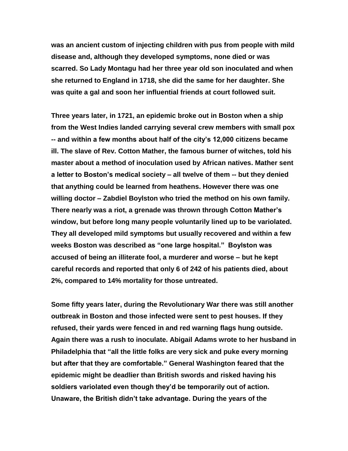**was an ancient custom of injecting children with pus from people with mild disease and, although they developed symptoms, none died or was scarred. So Lady Montagu had her three year old son inoculated and when she returned to England in 1718, she did the same for her daughter. She was quite a gal and soon her influential friends at court followed suit.**

**Three years later, in 1721, an epidemic broke out in Boston when a ship from the West Indies landed carrying several crew members with small pox -- and within a few months about half of the city's 12,000 citizens became ill. The slave of Rev. Cotton Mather, the famous burner of witches, told his master about a method of inoculation used by African natives. Mather sent a letter to Boston's medical society – all twelve of them -- but they denied that anything could be learned from heathens. However there was one willing doctor – Zabdiel Boylston who tried the method on his own family. There nearly was a riot, a grenade was thrown through Cotton Mather's window, but before long many people voluntarily lined up to be variolated. They all developed mild symptoms but usually recovered and within a few weeks Boston was described as "one large hospital." Boylston was accused of being an illiterate fool, a murderer and worse – but he kept careful records and reported that only 6 of 242 of his patients died, about 2%, compared to 14% mortality for those untreated.** 

**Some fifty years later, during the Revolutionary War there was still another outbreak in Boston and those infected were sent to pest houses. If they refused, their yards were fenced in and red warning flags hung outside. Again there was a rush to inoculate. Abigail Adams wrote to her husband in Philadelphia that "all the little folks are very sick and puke every morning but after that they are comfortable." General Washington feared that the epidemic might be deadlier than British swords and risked having his soldiers variolated even though they'd be temporarily out of action. Unaware, the British didn't take advantage. During the years of the**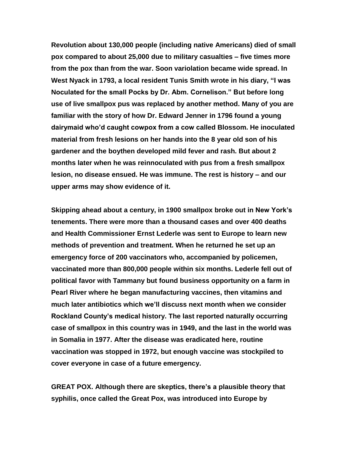**Revolution about 130,000 people (including native Americans) died of small pox compared to about 25,000 due to military casualties – five times more from the pox than from the war. Soon variolation became wide spread. In West Nyack in 1793, a local resident Tunis Smith wrote in his diary, "I was Noculated for the small Pocks by Dr. Abm. Cornelison." But before long use of live smallpox pus was replaced by another method. Many of you are familiar with the story of how Dr. Edward Jenner in 1796 found a young dairymaid who'd caught cowpox from a cow called Blossom. He inoculated material from fresh lesions on her hands into the 8 year old son of his gardener and the boythen developed mild fever and rash. But about 2 months later when he was reinnoculated with pus from a fresh smallpox lesion, no disease ensued. He was immune. The rest is history – and our upper arms may show evidence of it.**

**Skipping ahead about a century, in 1900 smallpox broke out in New York's tenements. There were more than a thousand cases and over 400 deaths and Health Commissioner Ernst Lederle was sent to Europe to learn new methods of prevention and treatment. When he returned he set up an emergency force of 200 vaccinators who, accompanied by policemen, vaccinated more than 800,000 people within six months. Lederle fell out of political favor with Tammany but found business opportunity on a farm in Pearl River where he began manufacturing vaccines, then vitamins and much later antibiotics which we'll discuss next month when we consider Rockland County's medical history. The last reported naturally occurring case of smallpox in this country was in 1949, and the last in the world was in Somalia in 1977. After the disease was eradicated here, routine vaccination was stopped in 1972, but enough vaccine was stockpiled to cover everyone in case of a future emergency.** 

**GREAT POX. Although there are skeptics, there's a plausible theory that syphilis, once called the Great Pox, was introduced into Europe by**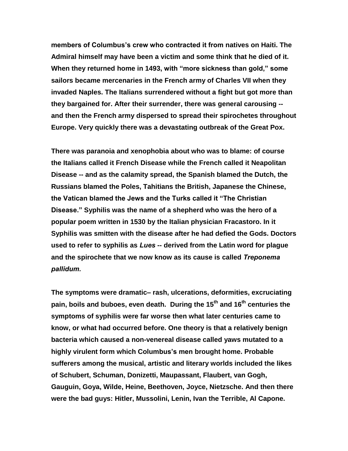**members of Columbus's crew who contracted it from natives on Haiti. The Admiral himself may have been a victim and some think that he died of it. When they returned home in 1493, with "more sickness than gold," some sailors became mercenaries in the French army of Charles VII when they invaded Naples. The Italians surrendered without a fight but got more than they bargained for. After their surrender, there was general carousing - and then the French army dispersed to spread their spirochetes throughout Europe. Very quickly there was a devastating outbreak of the Great Pox.** 

**There was paranoia and xenophobia about who was to blame: of course the Italians called it French Disease while the French called it Neapolitan Disease -- and as the calamity spread, the Spanish blamed the Dutch, the Russians blamed the Poles, Tahitians the British, Japanese the Chinese, the Vatican blamed the Jews and the Turks called it "The Christian Disease." Syphilis was the name of a shepherd who was the hero of a popular poem written in 1530 by the Italian physician Fracastoro. In it Syphilis was smitten with the disease after he had defied the Gods. Doctors used to refer to syphilis as** *Lues* **-- derived from the Latin word for plague and the spirochete that we now know as its cause is called** *Treponema pallidum.*

**The symptoms were dramatic– rash, ulcerations, deformities, excruciating pain, boils and buboes, even death. During the 15th and 16th centuries the symptoms of syphilis were far worse then what later centuries came to know, or what had occurred before. One theory is that a relatively benign bacteria which caused a non-venereal disease called yaws mutated to a highly virulent form which Columbus's men brought home. Probable sufferers among the musical, artistic and literary worlds included the likes of Schubert, Schuman, Donizetti, Maupassant, Flaubert, van Gogh, Gauguin, Goya, Wilde, Heine, Beethoven, Joyce, Nietzsche. And then there were the bad guys: Hitler, Mussolini, Lenin, Ivan the Terrible, Al Capone.**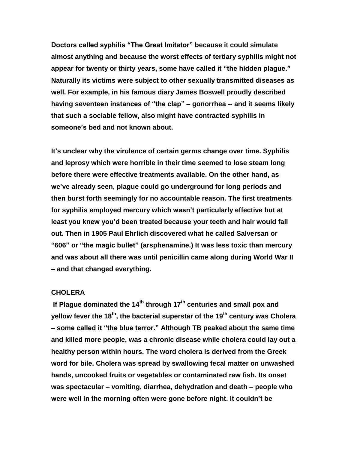**Doctors called syphilis "The Great Imitator" because it could simulate almost anything and because the worst effects of tertiary syphilis might not appear for twenty or thirty years, some have called it "the hidden plague." Naturally its victims were subject to other sexually transmitted diseases as well. For example, in his famous diary James Boswell proudly described having seventeen instances of "the clap" – gonorrhea -- and it seems likely that such a sociable fellow, also might have contracted syphilis in someone's bed and not known about.**

**It's unclear why the virulence of certain germs change over time. Syphilis and leprosy which were horrible in their time seemed to lose steam long before there were effective treatments available. On the other hand, as we've already seen, plague could go underground for long periods and then burst forth seemingly for no accountable reason. The first treatments for syphilis employed mercury which wasn't particularly effective but at least you knew you'd been treated because your teeth and hair would fall out. Then in 1905 Paul Ehrlich discovered what he called Salversan or "606" or "the magic bullet" (arsphenamine.) It was less toxic than mercury and was about all there was until penicillin came along during World War II – and that changed everything.**

## **CHOLERA**

**If Plague dominated the 14th through 17th centuries and small pox and yellow fever the 18th, the bacterial superstar of the 19th century was Cholera – some called it "the blue terror." Although TB peaked about the same time and killed more people, was a chronic disease while cholera could lay out a healthy person within hours. The word cholera is derived from the Greek word for bile. Cholera was spread by swallowing fecal matter on unwashed hands, uncooked fruits or vegetables or contaminated raw fish. Its onset was spectacular – vomiting, diarrhea, dehydration and death – people who were well in the morning often were gone before night. It couldn't be**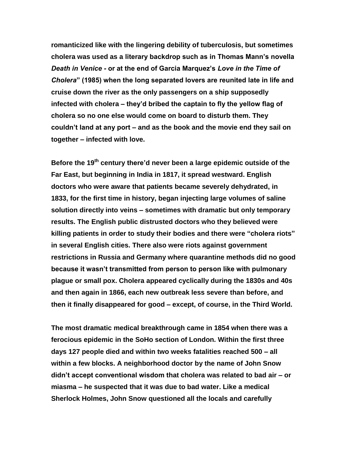**romanticized like with the lingering debility of tuberculosis, but sometimes cholera was used as a literary backdrop such as in Thomas Mann's novella**  *Death in Venice -* **or at the end of Garcia Marquez's** *Love in the Time of Cholera***" (1985) when the long separated lovers are reunited late in life and cruise down the river as the only passengers on a ship supposedly infected with cholera – they'd bribed the captain to fly the yellow flag of cholera so no one else would come on board to disturb them. They couldn't land at any port – and as the book and the movie end they sail on together – infected with love.** 

**Before the 19th century there'd never been a large epidemic outside of the Far East, but beginning in India in 1817, it spread westward. English doctors who were aware that patients became severely dehydrated, in 1833, for the first time in history, began injecting large volumes of saline solution directly into veins – sometimes with dramatic but only temporary results. The English public distrusted doctors who they believed were killing patients in order to study their bodies and there were "cholera riots" in several English cities. There also were riots against government restrictions in Russia and Germany where quarantine methods did no good because it wasn't transmitted from person to person like with pulmonary plague or small pox. Cholera appeared cyclically during the 1830s and 40s and then again in 1866, each new outbreak less severe than before, and then it finally disappeared for good – except, of course, in the Third World.**

**The most dramatic medical breakthrough came in 1854 when there was a ferocious epidemic in the SoHo section of London. Within the first three days 127 people died and within two weeks fatalities reached 500 – all within a few blocks. A neighborhood doctor by the name of John Snow didn't accept conventional wisdom that cholera was related to bad air – or miasma – he suspected that it was due to bad water. Like a medical Sherlock Holmes, John Snow questioned all the locals and carefully**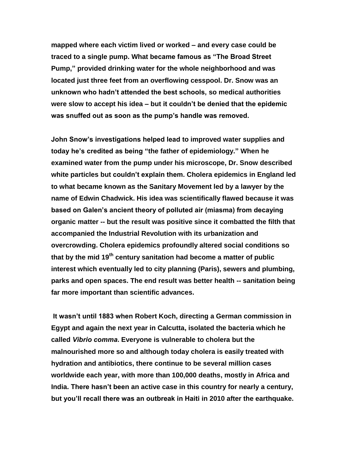**mapped where each victim lived or worked – and every case could be traced to a single pump. What became famous as "The Broad Street Pump," provided drinking water for the whole neighborhood and was located just three feet from an overflowing cesspool. Dr. Snow was an unknown who hadn't attended the best schools, so medical authorities were slow to accept his idea – but it couldn't be denied that the epidemic was snuffed out as soon as the pump's handle was removed.** 

**John Snow's investigations helped lead to improved water supplies and today he's credited as being "the father of epidemiology." When he examined water from the pump under his microscope, Dr. Snow described white particles but couldn't explain them. Cholera epidemics in England led to what became known as the Sanitary Movement led by a lawyer by the name of Edwin Chadwick. His idea was scientifically flawed because it was based on Galen's ancient theory of polluted air (miasma) from decaying organic matter -- but the result was positive since it combatted the filth that accompanied the Industrial Revolution with its urbanization and overcrowding. Cholera epidemics profoundly altered social conditions so that by the mid 19th century sanitation had become a matter of public interest which eventually led to city planning (Paris), sewers and plumbing, parks and open spaces. The end result was better health -- sanitation being far more important than scientific advances.** 

**It wasn't until 1883 when Robert Koch, directing a German commission in Egypt and again the next year in Calcutta, isolated the bacteria which he called** *Vibrio comma***. Everyone is vulnerable to cholera but the malnourished more so and although today cholera is easily treated with hydration and antibiotics, there continue to be several million cases worldwide each year, with more than 100,000 deaths, mostly in Africa and India. There hasn't been an active case in this country for nearly a century, but you'll recall there was an outbreak in Haiti in 2010 after the earthquake.**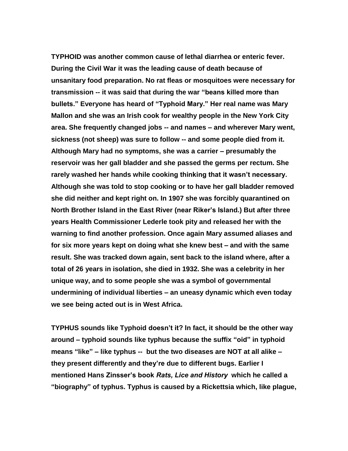**TYPHOID was another common cause of lethal diarrhea or enteric fever. During the Civil War it was the leading cause of death because of unsanitary food preparation. No rat fleas or mosquitoes were necessary for transmission -- it was said that during the war "beans killed more than bullets." Everyone has heard of "Typhoid Mary." Her real name was Mary Mallon and she was an Irish cook for wealthy people in the New York City area. She frequently changed jobs -- and names – and wherever Mary went, sickness (not sheep) was sure to follow -- and some people died from it. Although Mary had no symptoms, she was a carrier – presumably the reservoir was her gall bladder and she passed the germs per rectum. She rarely washed her hands while cooking thinking that it wasn't necessary. Although she was told to stop cooking or to have her gall bladder removed she did neither and kept right on. In 1907 she was forcibly quarantined on North Brother Island in the East River (near Riker's Island.) But after three years Health Commissioner Lederle took pity and released her with the warning to find another profession. Once again Mary assumed aliases and for six more years kept on doing what she knew best – and with the same result. She was tracked down again, sent back to the island where, after a total of 26 years in isolation, she died in 1932. She was a celebrity in her unique way, and to some people she was a symbol of governmental undermining of individual liberties – an uneasy dynamic which even today we see being acted out is in West Africa.**

**TYPHUS sounds like Typhoid doesn't it? In fact, it should be the other way around – typhoid sounds like typhus because the suffix "oid" in typhoid means "like" – like typhus -- but the two diseases are NOT at all alike – they present differently and they're due to different bugs. Earlier I mentioned Hans Zinsser's book** *Rats, Lice and History* **which he called a "biography" of typhus. Typhus is caused by a Rickettsia which, like plague,**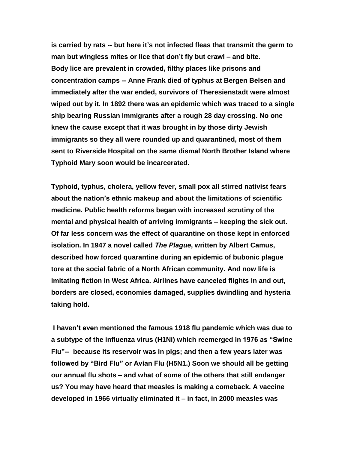**is carried by rats -- but here it's not infected fleas that transmit the germ to man but wingless mites or lice that don't fly but crawl – and bite. Body lice are prevalent in crowded, filthy places like prisons and concentration camps -- Anne Frank died of typhus at Bergen Belsen and immediately after the war ended, survivors of Theresienstadt were almost wiped out by it. In 1892 there was an epidemic which was traced to a single ship bearing Russian immigrants after a rough 28 day crossing. No one knew the cause except that it was brought in by those dirty Jewish immigrants so they all were rounded up and quarantined, most of them sent to Riverside Hospital on the same dismal North Brother Island where Typhoid Mary soon would be incarcerated.**

**Typhoid, typhus, cholera, yellow fever, small pox all stirred nativist fears about the nation's ethnic makeup and about the limitations of scientific medicine. Public health reforms began with increased scrutiny of the mental and physical health of arriving immigrants – keeping the sick out. Of far less concern was the effect of quarantine on those kept in enforced isolation. In 1947 a novel called** *The Plague***, written by Albert Camus, described how forced quarantine during an epidemic of bubonic plague tore at the social fabric of a North African community. And now life is imitating fiction in West Africa. Airlines have canceled flights in and out, borders are closed, economies damaged, supplies dwindling and hysteria taking hold.**

**I haven't even mentioned the famous 1918 flu pandemic which was due to a subtype of the influenza virus (H1Ni) which reemerged in 1976 as "Swine Flu"-- because its reservoir was in pigs; and then a few years later was followed by "Bird Flu" or Avian Flu (H5N1.) Soon we should all be getting our annual flu shots – and what of some of the others that still endanger us? You may have heard that measles is making a comeback. A vaccine developed in 1966 virtually eliminated it – in fact, in 2000 measles was**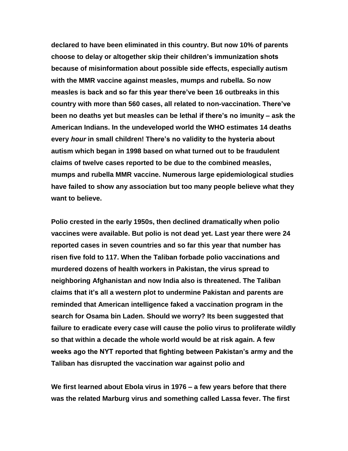**declared to have been eliminated in this country. But now 10% of parents choose to delay or altogether skip their children's immunization shots because of misinformation about possible side effects, especially autism with the MMR vaccine against measles, mumps and rubella. So now measles is back and so far this year there've been 16 outbreaks in this country with more than 560 cases, all related to non-vaccination. There've been no deaths yet but measles can be lethal if there's no imunity – ask the American Indians. In the undeveloped world the WHO estimates 14 deaths every** *hour* **in small children! There's no validity to the hysteria about autism which began in 1998 based on what turned out to be fraudulent claims of twelve cases reported to be due to the combined measles, mumps and rubella MMR vaccine. Numerous large epidemiological studies have failed to show any association but too many people believe what they want to believe.**

**Polio crested in the early 1950s, then declined dramatically when polio vaccines were available. But polio is not dead yet. Last year there were 24 reported cases in seven countries and so far this year that number has risen five fold to 117. When the Taliban forbade polio vaccinations and murdered dozens of health workers in Pakistan, the virus spread to neighboring Afghanistan and now India also is threatened. The Taliban claims that it's all a western plot to undermine Pakistan and parents are reminded that American intelligence faked a vaccination program in the search for Osama bin Laden. Should we worry? Its been suggested that failure to eradicate every case will cause the polio virus to proliferate wildly so that within a decade the whole world would be at risk again. A few weeks ago the NYT reported that fighting between Pakistan's army and the Taliban has disrupted the vaccination war against polio and** 

**We first learned about Ebola virus in 1976 – a few years before that there was the related Marburg virus and something called Lassa fever. The first**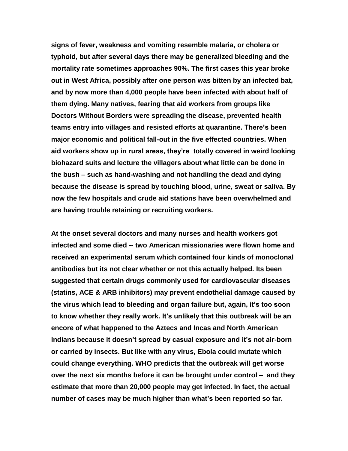**signs of fever, weakness and vomiting resemble malaria, or cholera or typhoid, but after several days there may be generalized bleeding and the mortality rate sometimes approaches 90%. The first cases this year broke out in West Africa, possibly after one person was bitten by an infected bat, and by now more than 4,000 people have been infected with about half of them dying. Many natives, fearing that aid workers from groups like Doctors Without Borders were spreading the disease, prevented health teams entry into villages and resisted efforts at quarantine. There's been major economic and political fall-out in the five effected countries. When aid workers show up in rural areas, they're totally covered in weird looking biohazard suits and lecture the villagers about what little can be done in the bush – such as hand-washing and not handling the dead and dying because the disease is spread by touching blood, urine, sweat or saliva. By now the few hospitals and crude aid stations have been overwhelmed and are having trouble retaining or recruiting workers.**

**At the onset several doctors and many nurses and health workers got infected and some died -- two American missionaries were flown home and received an experimental serum which contained four kinds of monoclonal antibodies but its not clear whether or not this actually helped. Its been suggested that certain drugs commonly used for cardiovascular diseases (statins, ACE & ARB inhibitors) may prevent endothelial damage caused by the virus which lead to bleeding and organ failure but, again, it's too soon to know whether they really work. It's unlikely that this outbreak will be an encore of what happened to the Aztecs and Incas and North American Indians because it doesn't spread by casual exposure and it's not air-born or carried by insects. But like with any virus, Ebola could mutate which could change everything. WHO predicts that the outbreak will get worse over the next six months before it can be brought under control – and they estimate that more than 20,000 people may get infected. In fact, the actual number of cases may be much higher than what's been reported so far.**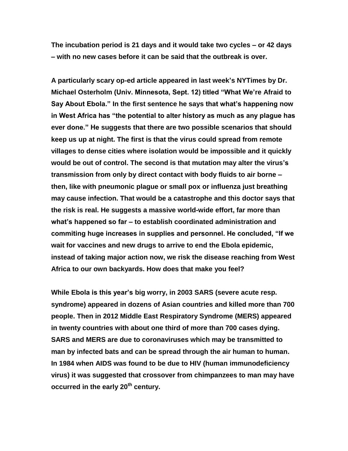**The incubation period is 21 days and it would take two cycles – or 42 days – with no new cases before it can be said that the outbreak is over.**

**A particularly scary op-ed article appeared in last week's NYTimes by Dr. Michael Osterholm (Univ. Minnesota, Sept. 12) titled "What We're Afraid to Say About Ebola." In the first sentence he says that what's happening now in West Africa has "the potential to alter history as much as any plague has ever done." He suggests that there are two possible scenarios that should keep us up at night. The first is that the virus could spread from remote villages to dense cities where isolation would be impossible and it quickly would be out of control. The second is that mutation may alter the virus's transmission from only by direct contact with body fluids to air borne – then, like with pneumonic plague or small pox or influenza just breathing may cause infection. That would be a catastrophe and this doctor says that the risk is real. He suggests a massive world-wide effort, far more than what's happened so far – to establish coordinated administration and commiting huge increases in supplies and personnel. He concluded, "If we wait for vaccines and new drugs to arrive to end the Ebola epidemic, instead of taking major action now, we risk the disease reaching from West Africa to our own backyards. How does that make you feel?**

**While Ebola is this year's big worry, in 2003 SARS (severe acute resp. syndrome) appeared in dozens of Asian countries and killed more than 700 people. Then in 2012 Middle East Respiratory Syndrome (MERS) appeared in twenty countries with about one third of more than 700 cases dying. SARS and MERS are due to coronaviruses which may be transmitted to man by infected bats and can be spread through the air human to human. In 1984 when AIDS was found to be due to HIV (human immunodeficiency virus) it was suggested that crossover from chimpanzees to man may have occurred in the early 20th century.**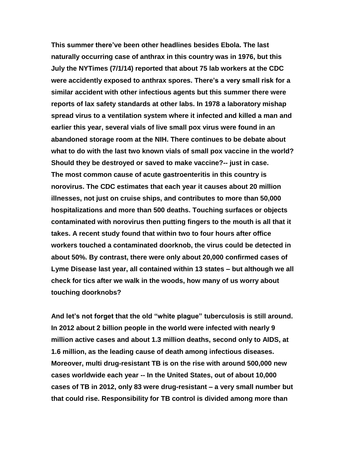**This summer there've been other headlines besides Ebola. The last naturally occurring case of anthrax in this country was in 1976, but this July the NYTimes (7/1/14) reported that about 75 lab workers at the CDC were accidently exposed to anthrax spores. There's a very small risk for a similar accident with other infectious agents but this summer there were reports of lax safety standards at other labs. In 1978 a laboratory mishap spread virus to a ventilation system where it infected and killed a man and earlier this year, several vials of live small pox virus were found in an abandoned storage room at the NIH. There continues to be debate about what to do with the last two known vials of small pox vaccine in the world? Should they be destroyed or saved to make vaccine?-- just in case. The most common cause of acute gastroenteritis in this country is norovirus. The CDC estimates that each year it causes about 20 million illnesses, not just on cruise ships, and contributes to more than 50,000 hospitalizations and more than 500 deaths. Touching surfaces or objects contaminated with norovirus then putting fingers to the mouth is all that it takes. A recent study found that within two to four hours after office workers touched a contaminated doorknob, the virus could be detected in about 50%. By contrast, there were only about 20,000 confirmed cases of Lyme Disease last year, all contained within 13 states – but although we all check for tics after we walk in the woods, how many of us worry about touching doorknobs?**

**And let's not forget that the old "white plague" tuberculosis is still around. In 2012 about 2 billion people in the world were infected with nearly 9 million active cases and about 1.3 million deaths, second only to AIDS, at 1.6 million, as the leading cause of death among infectious diseases. Moreover, multi drug-resistant TB is on the rise with around 500,000 new cases worldwide each year -- In the United States, out of about 10,000 cases of TB in 2012, only 83 were drug-resistant – a very small number but that could rise. Responsibility for TB control is divided among more than**